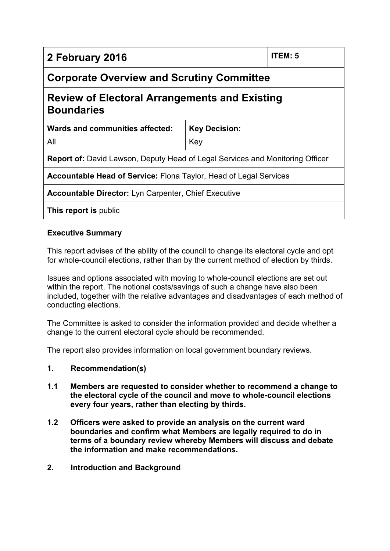| 2 February 2016                                                                      | <b>ITEM: 5</b> |  |  |  |
|--------------------------------------------------------------------------------------|----------------|--|--|--|
| <b>Corporate Overview and Scrutiny Committee</b>                                     |                |  |  |  |
| <b>Review of Electoral Arrangements and Existing</b><br><b>Boundaries</b>            |                |  |  |  |
| Wards and communities affected:<br><b>Key Decision:</b>                              |                |  |  |  |
| All                                                                                  | Key            |  |  |  |
| <b>Report of:</b> David Lawson, Deputy Head of Legal Services and Monitoring Officer |                |  |  |  |
| <b>Accountable Head of Service:</b> Fiona Taylor, Head of Legal Services             |                |  |  |  |
| <b>Accountable Director:</b> Lyn Carpenter, Chief Executive                          |                |  |  |  |
| This report is public                                                                |                |  |  |  |

# **Executive Summary**

This report advises of the ability of the council to change its electoral cycle and opt for whole-council elections, rather than by the current method of election by thirds.

Issues and options associated with moving to whole-council elections are set out within the report. The notional costs/savings of such a change have also been included, together with the relative advantages and disadvantages of each method of conducting elections.

The Committee is asked to consider the information provided and decide whether a change to the current electoral cycle should be recommended.

The report also provides information on local government boundary reviews.

#### **1. Recommendation(s)**

- **1.1 Members are requested to consider whether to recommend a change to the electoral cycle of the council and move to whole-council elections every four years, rather than electing by thirds.**
- **1.2 Officers were asked to provide an analysis on the current ward boundaries and confirm what Members are legally required to do in terms of a boundary review whereby Members will discuss and debate the information and make recommendations.**
- **2. Introduction and Background**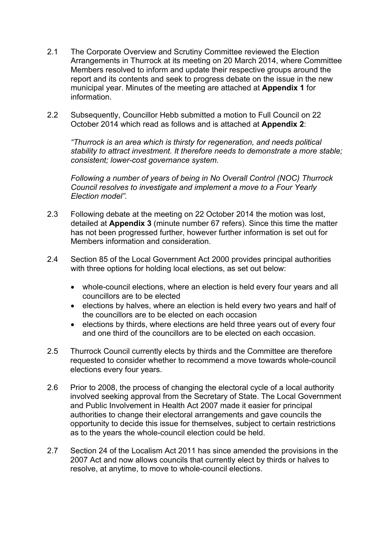- 2.1 The Corporate Overview and Scrutiny Committee reviewed the Election Arrangements in Thurrock at its meeting on 20 March 2014, where Committee Members resolved to inform and update their respective groups around the report and its contents and seek to progress debate on the issue in the new municipal year. Minutes of the meeting are attached at **Appendix 1** for information.
- 2.2 Subsequently, Councillor Hebb submitted a motion to Full Council on 22 October 2014 which read as follows and is attached at **Appendix 2**:

*"Thurrock is an area which is thirsty for regeneration, and needs political stability to attract investment. It therefore needs to demonstrate a more stable; consistent; lower-cost governance system.*

*Following a number of years of being in No Overall Control (NOC) Thurrock Council resolves to investigate and implement a move to a Four Yearly Election model".*

- 2.3 Following debate at the meeting on 22 October 2014 the motion was lost, detailed at **Appendix 3** (minute number 67 refers). Since this time the matter has not been progressed further, however further information is set out for Members information and consideration.
- 2.4 Section 85 of the Local Government Act 2000 provides principal authorities with three options for holding local elections, as set out below:
	- whole-council elections, where an election is held every four years and all councillors are to be elected
	- elections by halves, where an election is held every two years and half of the councillors are to be elected on each occasion
	- elections by thirds, where elections are held three years out of every four and one third of the councillors are to be elected on each occasion.
- 2.5 Thurrock Council currently elects by thirds and the Committee are therefore requested to consider whether to recommend a move towards whole-council elections every four years.
- 2.6 Prior to 2008, the process of changing the electoral cycle of a local authority involved seeking approval from the Secretary of State. The Local Government and Public Involvement in Health Act 2007 made it easier for principal authorities to change their electoral arrangements and gave councils the opportunity to decide this issue for themselves, subject to certain restrictions as to the years the whole-council election could be held.
- 2.7 Section 24 of the Localism Act 2011 has since amended the provisions in the 2007 Act and now allows councils that currently elect by thirds or halves to resolve, at anytime, to move to whole-council elections.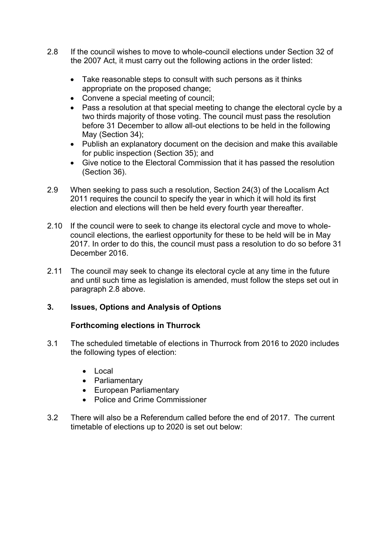- 2.8 If the council wishes to move to whole-council elections under Section 32 of the 2007 Act, it must carry out the following actions in the order listed:
	- Take reasonable steps to consult with such persons as it thinks appropriate on the proposed change;
	- Convene a special meeting of council;
	- Pass a resolution at that special meeting to change the electoral cycle by a two thirds majority of those voting. The council must pass the resolution before 31 December to allow all-out elections to be held in the following May (Section 34);
	- Publish an explanatory document on the decision and make this available for public inspection (Section 35); and
	- Give notice to the Electoral Commission that it has passed the resolution (Section 36).
- 2.9 When seeking to pass such a resolution, Section 24(3) of the Localism Act 2011 requires the council to specify the year in which it will hold its first election and elections will then be held every fourth year thereafter.
- 2.10 If the council were to seek to change its electoral cycle and move to wholecouncil elections, the earliest opportunity for these to be held will be in May 2017. In order to do this, the council must pass a resolution to do so before 31 December 2016.
- 2.11 The council may seek to change its electoral cycle at any time in the future and until such time as legislation is amended, must follow the steps set out in paragraph 2.8 above.

# **3. Issues, Options and Analysis of Options**

# **Forthcoming elections in Thurrock**

- 3.1 The scheduled timetable of elections in Thurrock from 2016 to 2020 includes the following types of election:
	- Local
	- Parliamentary
	- European Parliamentary
	- Police and Crime Commissioner
- 3.2 There will also be a Referendum called before the end of 2017. The current timetable of elections up to 2020 is set out below: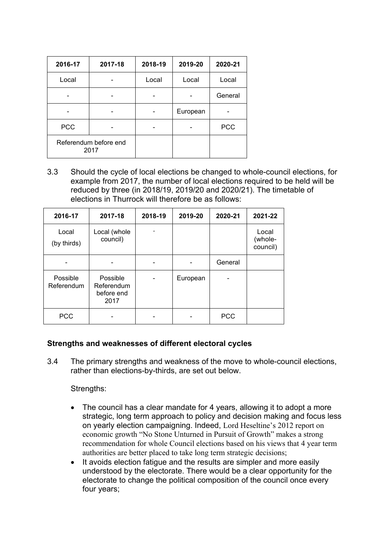| 2016-17                       | 2017-18 | 2018-19 | 2019-20  | 2020-21    |
|-------------------------------|---------|---------|----------|------------|
| Local                         |         | Local   | Local    | Local      |
|                               |         |         |          | General    |
|                               |         |         | European |            |
| <b>PCC</b>                    |         |         |          | <b>PCC</b> |
| Referendum before end<br>2017 |         |         |          |            |

3.3 Should the cycle of local elections be changed to whole-council elections, for example from 2017, the number of local elections required to be held will be reduced by three (in 2018/19, 2019/20 and 2020/21). The timetable of elections in Thurrock will therefore be as follows:

| 2016-17                | 2017-18                                      | 2018-19 | 2019-20  | 2020-21    | 2021-22                      |
|------------------------|----------------------------------------------|---------|----------|------------|------------------------------|
| Local<br>(by thirds)   | Local (whole<br>council)                     | -       |          |            | Local<br>(whole-<br>council) |
|                        |                                              |         |          | General    |                              |
| Possible<br>Referendum | Possible<br>Referendum<br>before end<br>2017 |         | European |            |                              |
| <b>PCC</b>             |                                              |         |          | <b>PCC</b> |                              |

# **Strengths and weaknesses of different electoral cycles**

3.4 The primary strengths and weakness of the move to whole-council elections, rather than elections-by-thirds, are set out below.

### Strengths:

- The council has a clear mandate for 4 years, allowing it to adopt a more strategic, long term approach to policy and decision making and focus less on yearly election campaigning. Indeed, Lord Heseltine's 2012 report on economic growth "No Stone Unturned in Pursuit of Growth" makes a strong recommendation for whole Council elections based on his views that 4 year term authorities are better placed to take long term strategic decisions;
- It avoids election fatigue and the results are simpler and more easily understood by the electorate. There would be a clear opportunity for the electorate to change the political composition of the council once every four years;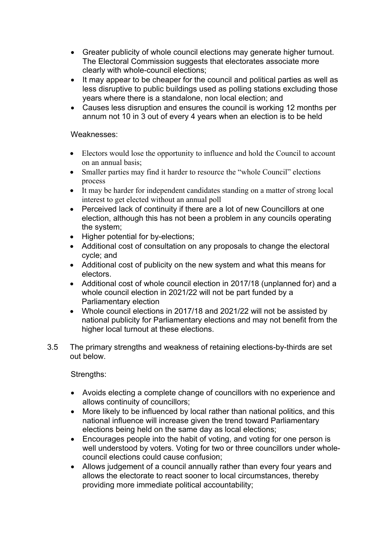- Greater publicity of whole council elections may generate higher turnout. The Electoral Commission suggests that electorates associate more clearly with whole-council elections;
- It may appear to be cheaper for the council and political parties as well as less disruptive to public buildings used as polling stations excluding those years where there is a standalone, non local election; and
- Causes less disruption and ensures the council is working 12 months per annum not 10 in 3 out of every 4 years when an election is to be held

#### Weaknesses:

- Electors would lose the opportunity to influence and hold the Council to account on an annual basis;
- Smaller parties may find it harder to resource the "whole Council" elections process
- It may be harder for independent candidates standing on a matter of strong local interest to get elected without an annual poll
- Perceived lack of continuity if there are a lot of new Councillors at one election, although this has not been a problem in any councils operating the system;
- Higher potential for by-elections;
- Additional cost of consultation on any proposals to change the electoral cycle; and
- Additional cost of publicity on the new system and what this means for electors.
- Additional cost of whole council election in 2017/18 (unplanned for) and a whole council election in 2021/22 will not be part funded by a Parliamentary election
- Whole council elections in 2017/18 and 2021/22 will not be assisted by national publicity for Parliamentary elections and may not benefit from the higher local turnout at these elections.
- 3.5 The primary strengths and weakness of retaining elections-by-thirds are set out below.

Strengths:

- Avoids electing a complete change of councillors with no experience and allows continuity of councillors;
- More likely to be influenced by local rather than national politics, and this national influence will increase given the trend toward Parliamentary elections being held on the same day as local elections;
- Encourages people into the habit of voting, and voting for one person is well understood by voters. Voting for two or three councillors under wholecouncil elections could cause confusion;
- Allows judgement of a council annually rather than every four years and allows the electorate to react sooner to local circumstances, thereby providing more immediate political accountability;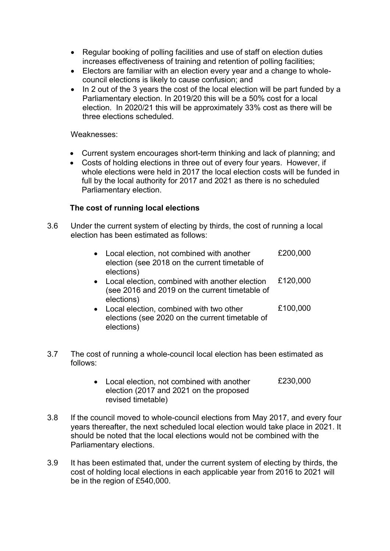- Regular booking of polling facilities and use of staff on election duties increases effectiveness of training and retention of polling facilities;
- Electors are familiar with an election every year and a change to wholecouncil elections is likely to cause confusion; and
- In 2 out of the 3 years the cost of the local election will be part funded by a Parliamentary election. In 2019/20 this will be a 50% cost for a local election. In 2020/21 this will be approximately 33% cost as there will be three elections scheduled.

### Weaknesses:

- Current system encourages short-term thinking and lack of planning; and
- Costs of holding elections in three out of every four years. However, if whole elections were held in 2017 the local election costs will be funded in full by the local authority for 2017 and 2021 as there is no scheduled Parliamentary election.

### **The cost of running local elections**

3.6 Under the current system of electing by thirds, the cost of running a local election has been estimated as follows:

|           | Local election, not combined with another<br>election (see 2018 on the current timetable of<br>elections)      | £200,000 |
|-----------|----------------------------------------------------------------------------------------------------------------|----------|
| $\bullet$ | Local election, combined with another election<br>(see 2016 and 2019 on the current timetable of<br>elections) | £120,000 |
| $\bullet$ | Local election, combined with two other<br>elections (see 2020 on the current timetable of<br>elections)       | £100,000 |

- 3.7 The cost of running a whole-council local election has been estimated as follows:
	- Local election, not combined with another election (2017 and 2021 on the proposed revised timetable) £230,000
- 3.8 If the council moved to whole-council elections from May 2017, and every four years thereafter, the next scheduled local election would take place in 2021. It should be noted that the local elections would not be combined with the Parliamentary elections.
- 3.9 It has been estimated that, under the current system of electing by thirds, the cost of holding local elections in each applicable year from 2016 to 2021 will be in the region of £540,000.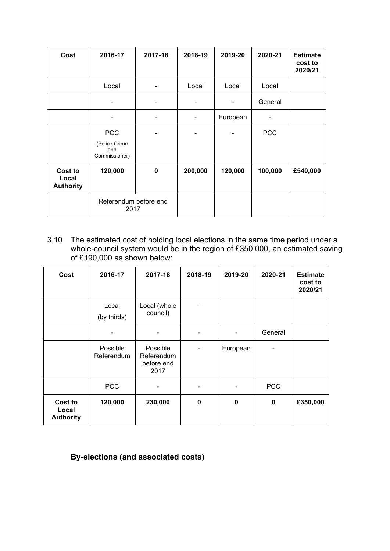| Cost                                 | 2016-17                               | 2017-18                  | 2018-19 | 2019-20  | 2020-21    | <b>Estimate</b><br>cost to<br>2020/21 |
|--------------------------------------|---------------------------------------|--------------------------|---------|----------|------------|---------------------------------------|
|                                      | Local                                 | $\overline{\phantom{a}}$ | Local   | Local    | Local      |                                       |
|                                      |                                       |                          |         |          | General    |                                       |
|                                      |                                       |                          |         | European |            |                                       |
|                                      | <b>PCC</b>                            |                          |         |          | <b>PCC</b> |                                       |
|                                      | (Police Crime<br>and<br>Commissioner) |                          |         |          |            |                                       |
| Cost to<br>Local<br><b>Authority</b> | 120,000                               | 0                        | 200,000 | 120,000  | 100,000    | £540,000                              |
|                                      | Referendum before end<br>2017         |                          |         |          |            |                                       |

3.10 The estimated cost of holding local elections in the same time period under a whole-council system would be in the region of £350,000, an estimated saving of £190,000 as shown below:

| Cost                                 | 2016-17                | 2017-18                                      | 2018-19        | 2019-20  | 2020-21     | <b>Estimate</b><br>cost to<br>2020/21 |
|--------------------------------------|------------------------|----------------------------------------------|----------------|----------|-------------|---------------------------------------|
|                                      | Local<br>(by thirds)   | Local (whole<br>council)                     | $\overline{a}$ |          |             |                                       |
|                                      |                        |                                              |                |          | General     |                                       |
|                                      | Possible<br>Referendum | Possible<br>Referendum<br>before end<br>2017 |                | European |             |                                       |
|                                      | <b>PCC</b>             |                                              |                |          | <b>PCC</b>  |                                       |
| Cost to<br>Local<br><b>Authority</b> | 120,000                | 230,000                                      | 0              | 0        | $\mathbf 0$ | £350,000                              |

# **By-elections (and associated costs)**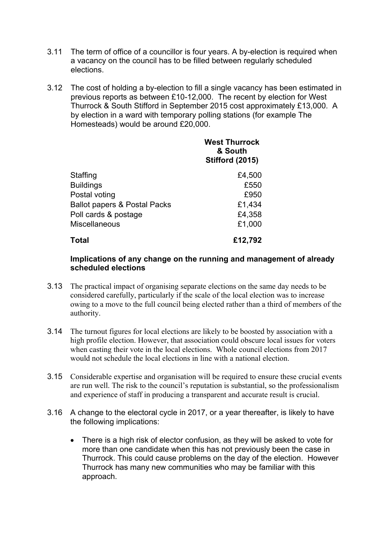- 3.11 The term of office of a councillor is four years. A by-election is required when a vacancy on the council has to be filled between regularly scheduled elections.
- 3.12 The cost of holding a by-election to fill a single vacancy has been estimated in previous reports as between £10-12,000. The recent by election for West Thurrock & South Stifford in September 2015 cost approximately £13,000. A by election in a ward with temporary polling stations (for example The Homesteads) would be around £20,000.

|                                         | <b>West Thurrock</b><br>& South<br><b>Stifford (2015)</b> |
|-----------------------------------------|-----------------------------------------------------------|
| Staffing                                | £4,500                                                    |
| <b>Buildings</b>                        | £550                                                      |
| Postal voting                           | £950                                                      |
| <b>Ballot papers &amp; Postal Packs</b> | £1,434                                                    |
| Poll cards & postage                    | £4,358                                                    |
| <b>Miscellaneous</b>                    | £1,000                                                    |
| <b>Total</b>                            | £12,792                                                   |

### **Implications of any change on the running and management of already scheduled elections**

- 3.13 The practical impact of organising separate elections on the same day needs to be considered carefully, particularly if the scale of the local election was to increase owing to a move to the full council being elected rather than a third of members of the authority.
- 3.14 The turnout figures for local elections are likely to be boosted by association with a high profile election. However, that association could obscure local issues for voters when casting their vote in the local elections. Whole council elections from 2017 would not schedule the local elections in line with a national election.
- 3.15 Considerable expertise and organisation will be required to ensure these crucial events are run well. The risk to the council's reputation is substantial, so the professionalism and experience of staff in producing a transparent and accurate result is crucial.
- 3.16 A change to the electoral cycle in 2017, or a year thereafter, is likely to have the following implications:
	- There is a high risk of elector confusion, as they will be asked to vote for more than one candidate when this has not previously been the case in Thurrock. This could cause problems on the day of the election. However Thurrock has many new communities who may be familiar with this approach.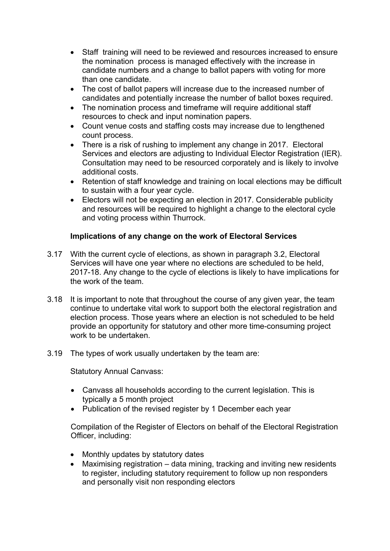- Staff training will need to be reviewed and resources increased to ensure the nomination process is managed effectively with the increase in candidate numbers and a change to ballot papers with voting for more than one candidate.
- The cost of ballot papers will increase due to the increased number of candidates and potentially increase the number of ballot boxes required.
- The nomination process and timeframe will require additional staff resources to check and input nomination papers.
- Count venue costs and staffing costs may increase due to lengthened count process.
- There is a risk of rushing to implement any change in 2017. Electoral Services and electors are adjusting to Individual Elector Registration (IER). Consultation may need to be resourced corporately and is likely to involve additional costs.
- Retention of staff knowledge and training on local elections may be difficult to sustain with a four year cycle.
- Electors will not be expecting an election in 2017. Considerable publicity and resources will be required to highlight a change to the electoral cycle and voting process within Thurrock.

# **Implications of any change on the work of Electoral Services**

- 3.17 With the current cycle of elections, as shown in paragraph 3.2, Electoral Services will have one year where no elections are scheduled to be held, 2017-18. Any change to the cycle of elections is likely to have implications for the work of the team.
- 3.18 It is important to note that throughout the course of any given year, the team continue to undertake vital work to support both the electoral registration and election process. Those years where an election is not scheduled to be held provide an opportunity for statutory and other more time-consuming project work to be undertaken.
- 3.19 The types of work usually undertaken by the team are:

Statutory Annual Canvass:

- Canvass all households according to the current legislation. This is typically a 5 month project
- Publication of the revised register by 1 December each year

Compilation of the Register of Electors on behalf of the Electoral Registration Officer, including:

- Monthly updates by statutory dates
- Maximising registration data mining, tracking and inviting new residents to register, including statutory requirement to follow up non responders and personally visit non responding electors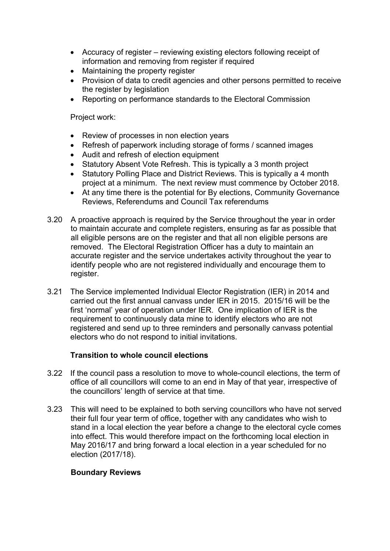- Accuracy of register reviewing existing electors following receipt of information and removing from register if required
- Maintaining the property register
- Provision of data to credit agencies and other persons permitted to receive the register by legislation
- Reporting on performance standards to the Electoral Commission

# Project work:

- Review of processes in non election years
- Refresh of paperwork including storage of forms / scanned images
- Audit and refresh of election equipment
- Statutory Absent Vote Refresh. This is typically a 3 month project
- Statutory Polling Place and District Reviews. This is typically a 4 month project at a minimum. The next review must commence by October 2018.
- At any time there is the potential for By elections, Community Governance Reviews, Referendums and Council Tax referendums
- 3.20 A proactive approach is required by the Service throughout the year in order to maintain accurate and complete registers, ensuring as far as possible that all eligible persons are on the register and that all non eligible persons are removed. The Electoral Registration Officer has a duty to maintain an accurate register and the service undertakes activity throughout the year to identify people who are not registered individually and encourage them to register.
- 3.21 The Service implemented Individual Elector Registration (IER) in 2014 and carried out the first annual canvass under IER in 2015. 2015/16 will be the first 'normal' year of operation under IER. One implication of IER is the requirement to continuously data mine to identify electors who are not registered and send up to three reminders and personally canvass potential electors who do not respond to initial invitations.

# **Transition to whole council elections**

- 3.22 If the council pass a resolution to move to whole-council elections, the term of office of all councillors will come to an end in May of that year, irrespective of the councillors' length of service at that time.
- 3.23 This will need to be explained to both serving councillors who have not served their full four year term of office, together with any candidates who wish to stand in a local election the year before a change to the electoral cycle comes into effect. This would therefore impact on the forthcoming local election in May 2016/17 and bring forward a local election in a year scheduled for no election (2017/18).

# **Boundary Reviews**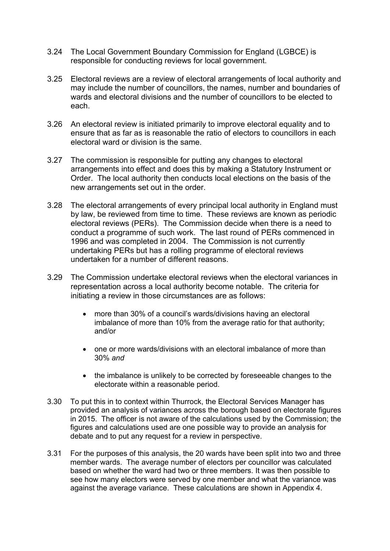- 3.24 The Local Government Boundary Commission for England (LGBCE) is responsible for conducting reviews for local government.
- 3.25 Electoral reviews are a review of electoral arrangements of local authority and may include the number of councillors, the names, number and boundaries of wards and electoral divisions and the number of councillors to be elected to each.
- 3.26 An electoral review is initiated primarily to improve electoral equality and to ensure that as far as is reasonable the ratio of electors to councillors in each electoral ward or division is the same.
- 3.27 The commission is responsible for putting any changes to electoral arrangements into effect and does this by making a Statutory Instrument or Order. The local authority then conducts local elections on the basis of the new arrangements set out in the order.
- 3.28 The electoral arrangements of every principal local authority in England must by law, be reviewed from time to time. These reviews are known as periodic electoral reviews (PERs). The Commission decide when there is a need to conduct a programme of such work. The last round of PERs commenced in 1996 and was completed in 2004. The Commission is not currently undertaking PERs but has a rolling programme of electoral reviews undertaken for a number of different reasons.
- 3.29 The Commission undertake electoral reviews when the electoral variances in representation across a local authority become notable. The criteria for initiating a review in those circumstances are as follows:
	- more than 30% of a council's wards/divisions having an electoral imbalance of more than 10% from the average ratio for that authority; and/or
	- one or more wards/divisions with an electoral imbalance of more than 30% *and*
	- the imbalance is unlikely to be corrected by foreseeable changes to the electorate within a reasonable period.
- 3.30 To put this in to context within Thurrock, the Electoral Services Manager has provided an analysis of variances across the borough based on electorate figures in 2015. The officer is not aware of the calculations used by the Commission; the figures and calculations used are one possible way to provide an analysis for debate and to put any request for a review in perspective.
- 3.31 For the purposes of this analysis, the 20 wards have been split into two and three member wards. The average number of electors per councillor was calculated based on whether the ward had two or three members. It was then possible to see how many electors were served by one member and what the variance was against the average variance. These calculations are shown in Appendix 4.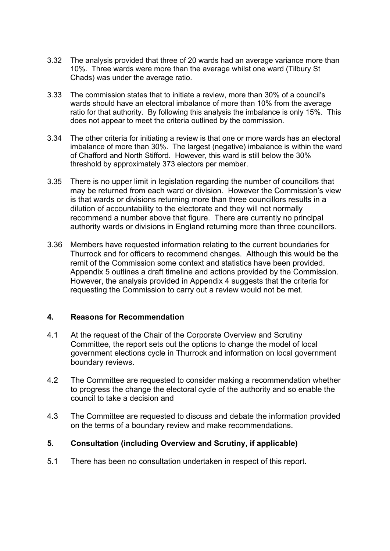- 3.32 The analysis provided that three of 20 wards had an average variance more than 10%. Three wards were more than the average whilst one ward (Tilbury St Chads) was under the average ratio.
- 3.33 The commission states that to initiate a review, more than 30% of a council's wards should have an electoral imbalance of more than 10% from the average ratio for that authority. By following this analysis the imbalance is only 15%. This does not appear to meet the criteria outlined by the commission.
- 3.34 The other criteria for initiating a review is that one or more wards has an electoral imbalance of more than 30%. The largest (negative) imbalance is within the ward of Chafford and North Stifford. However, this ward is still below the 30% threshold by approximately 373 electors per member.
- 3.35 There is no upper limit in legislation regarding the number of councillors that may be returned from each ward or division. However the Commission's view is that wards or divisions returning more than three councillors results in a dilution of accountability to the electorate and they will not normally recommend a number above that figure. There are currently no principal authority wards or divisions in England returning more than three councillors.
- 3.36 Members have requested information relating to the current boundaries for Thurrock and for officers to recommend changes. Although this would be the remit of the Commission some context and statistics have been provided. Appendix 5 outlines a draft timeline and actions provided by the Commission. However, the analysis provided in Appendix 4 suggests that the criteria for requesting the Commission to carry out a review would not be met.

### **4. Reasons for Recommendation**

- 4.1 At the request of the Chair of the Corporate Overview and Scrutiny Committee, the report sets out the options to change the model of local government elections cycle in Thurrock and information on local government boundary reviews.
- 4.2 The Committee are requested to consider making a recommendation whether to progress the change the electoral cycle of the authority and so enable the council to take a decision and
- 4.3 The Committee are requested to discuss and debate the information provided on the terms of a boundary review and make recommendations.

### **5. Consultation (including Overview and Scrutiny, if applicable)**

5.1 There has been no consultation undertaken in respect of this report.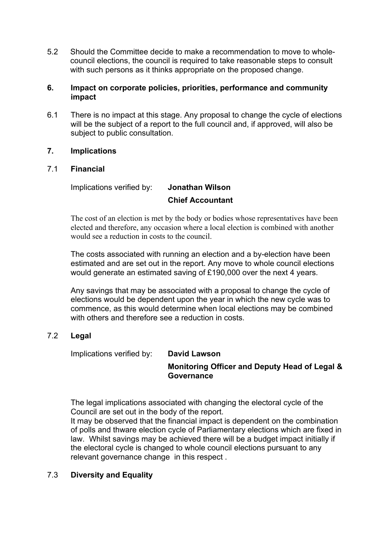5.2 Should the Committee decide to make a recommendation to move to wholecouncil elections, the council is required to take reasonable steps to consult with such persons as it thinks appropriate on the proposed change.

### **6. Impact on corporate policies, priorities, performance and community impact**

6.1 There is no impact at this stage. Any proposal to change the cycle of elections will be the subject of a report to the full council and, if approved, will also be subject to public consultation.

# **7. Implications**

# 7.1 **Financial**

Implications verified by: **Jonathan Wilson**

# **Chief Accountant**

The cost of an election is met by the body or bodies whose representatives have been elected and therefore, any occasion where a local election is combined with another would see a reduction in costs to the council.

The costs associated with running an election and a by-election have been estimated and are set out in the report. Any move to whole council elections would generate an estimated saving of £190,000 over the next 4 years.

Any savings that may be associated with a proposal to change the cycle of elections would be dependent upon the year in which the new cycle was to commence, as this would determine when local elections may be combined with others and therefore see a reduction in costs.

# 7.2 **Legal**

Implications verified by: **David Lawson**

#### **Monitoring Officer and Deputy Head of Legal & Governance**

The legal implications associated with changing the electoral cycle of the Council are set out in the body of the report.

It may be observed that the financial impact is dependent on the combination of polls and thware election cycle of Parliamentary elections which are fixed in law. Whilst savings may be achieved there will be a budget impact initially if the electoral cycle is changed to whole council elections pursuant to any relevant governance change in this respect .

# 7.3 **Diversity and Equality**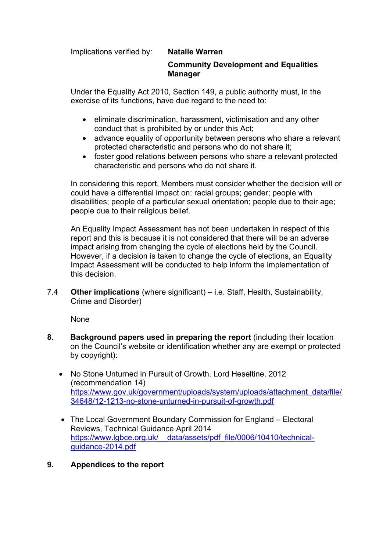Implications verified by: **Natalie Warren**

# **Community Development and Equalities Manager**

Under the Equality Act 2010, Section 149, a public authority must, in the exercise of its functions, have due regard to the need to:

- **e** eliminate discrimination, harassment, victimisation and any other conduct that is prohibited by or under this Act;
- advance equality of opportunity between persons who share a relevant protected characteristic and persons who do not share it;
- foster good relations between persons who share a relevant protected characteristic and persons who do not share it.

In considering this report, Members must consider whether the decision will or could have a differential impact on: racial groups; gender; people with disabilities; people of a particular sexual orientation; people due to their age; people due to their religious belief.

An Equality Impact Assessment has not been undertaken in respect of this report and this is because it is not considered that there will be an adverse impact arising from changing the cycle of elections held by the Council. However, if a decision is taken to change the cycle of elections, an Equality Impact Assessment will be conducted to help inform the implementation of this decision.

7.4 **Other implications** (where significant) – i.e. Staff, Health, Sustainability, Crime and Disorder)

None

- **8. Background papers used in preparing the report** (including their location on the Council's website or identification whether any are exempt or protected by copyright):
	- No Stone Unturned in Pursuit of Growth. Lord Heseltine. 2012 (recommendation 14) [https://www.gov.uk/government/uploads/system/uploads/attachment\\_data/file/](https://www.gov.uk/government/uploads/system/uploads/attachment_data/file/34648/12-1213-no-stone-unturned-in-pursuit-of-growth.pdf) [34648/12-1213-no-stone-unturned-in-pursuit-of-growth.pdf](https://www.gov.uk/government/uploads/system/uploads/attachment_data/file/34648/12-1213-no-stone-unturned-in-pursuit-of-growth.pdf)
	- The Local Government Boundary Commission for England Electoral Reviews, Technical Guidance April 2014 https://www.lgbce.org.uk/ data/assets/pdf\_file/0006/10410/technical[guidance-2014.pdf](https://www.lgbce.org.uk/__data/assets/pdf_file/0006/10410/technical-guidance-2014.pdf)
- **9. Appendices to the report**